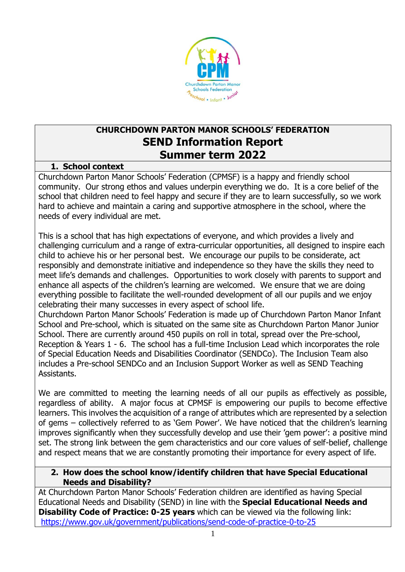

# **CHURCHDOWN PARTON MANOR SCHOOLS' FEDERATION SEND Information Report Summer term 2022**

#### **1. School context**

Churchdown Parton Manor Schools' Federation (CPMSF) is a happy and friendly school community. Our strong ethos and values underpin everything we do. It is a core belief of the school that children need to feel happy and secure if they are to learn successfully, so we work hard to achieve and maintain a caring and supportive atmosphere in the school, where the needs of every individual are met.

This is a school that has high expectations of everyone, and which provides a lively and challenging curriculum and a range of extra-curricular opportunities, all designed to inspire each child to achieve his or her personal best. We encourage our pupils to be considerate, act responsibly and demonstrate initiative and independence so they have the skills they need to meet life's demands and challenges. Opportunities to work closely with parents to support and enhance all aspects of the children's learning are welcomed. We ensure that we are doing everything possible to facilitate the well-rounded development of all our pupils and we enjoy celebrating their many successes in every aspect of school life.

Churchdown Parton Manor Schools' Federation is made up of Churchdown Parton Manor Infant School and Pre-school, which is situated on the same site as Churchdown Parton Manor Junior School. There are currently around 450 pupils on roll in total, spread over the Pre-school, Reception & Years 1 - 6. The school has a full-time Inclusion Lead which incorporates the role of Special Education Needs and Disabilities Coordinator (SENDCo). The Inclusion Team also includes a Pre-school SENDCo and an Inclusion Support Worker as well as SEND Teaching Assistants.

We are committed to meeting the learning needs of all our pupils as effectively as possible, regardless of ability. A major focus at CPMSF is empowering our pupils to become effective learners. This involves the acquisition of a range of attributes which are represented by a selection of gems – collectively referred to as 'Gem Power'. We have noticed that the children's learning improves significantly when they successfully develop and use their 'gem power': a positive mind set. The strong link between the gem characteristics and our core values of self-belief, challenge and respect means that we are constantly promoting their importance for every aspect of life.

#### **2. How does the school know/identify children that have Special Educational Needs and Disability?**

At Churchdown Parton Manor Schools' Federation children are identified as having Special Educational Needs and Disability (SEND) in line with the **Special Educational Needs and Disability Code of Practice: 0-25 years** which can be viewed via the following link: [https://www.gov.uk/government/publications/send-code-of-practice-0-to-25](http://www.gov.uk/government/publications/send-code-of-practice-0-to-25)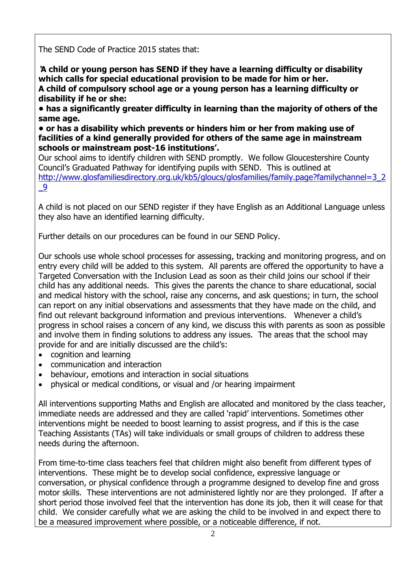The SEND Code of Practice 2015 states that:

**'A child or young person has SEND if they have a learning difficulty or disability which calls for special educational provision to be made for him or her. A child of compulsory school age or a young person has a learning difficulty or disability if he or she:** 

**• has a significantly greater difficulty in learning than the majority of others of the same age.**

**• or has a disability which prevents or hinders him or her from making use of facilities of a kind generally provided for others of the same age in mainstream schools or mainstream post-16 institutions'.**

Our school aims to identify children with SEND promptly. We follow Gloucestershire County Council's Graduated Pathway for identifying pupils with SEND. This is outlined at [http://www.glosfamiliesdirectory.org.uk/kb5/gloucs/glosfamilies/family.page?familychannel=3\\_2](http://www.glosfamiliesdirectory.org.uk/kb5/gloucs/glosfamilies/family.page?familychannel=3_2_9) [\\_9](http://www.glosfamiliesdirectory.org.uk/kb5/gloucs/glosfamilies/family.page?familychannel=3_2_9)

A child is not placed on our SEND register if they have English as an Additional Language unless they also have an identified learning difficulty.

Further details on our procedures can be found in our SEND Policy.

Our schools use whole school processes for assessing, tracking and monitoring progress, and on entry every child will be added to this system. All parents are offered the opportunity to have a Targeted Conversation with the Inclusion Lead as soon as their child joins our school if their child has any additional needs. This gives the parents the chance to share educational, social and medical history with the school, raise any concerns, and ask questions; in turn, the school can report on any initial observations and assessments that they have made on the child, and find out relevant background information and previous interventions. Whenever a child's progress in school raises a concern of any kind, we discuss this with parents as soon as possible and involve them in finding solutions to address any issues. The areas that the school may provide for and are initially discussed are the child's:

- cognition and learning
- communication and interaction
- behaviour, emotions and interaction in social situations
- physical or medical conditions, or visual and /or hearing impairment

All interventions supporting Maths and English are allocated and monitored by the class teacher, immediate needs are addressed and they are called 'rapid' interventions. Sometimes other interventions might be needed to boost learning to assist progress, and if this is the case Teaching Assistants (TAs) will take individuals or small groups of children to address these needs during the afternoon.

From time-to-time class teachers feel that children might also benefit from different types of interventions. These might be to develop social confidence, expressive language or conversation, or physical confidence through a programme designed to develop fine and gross motor skills. These interventions are not administered lightly nor are they prolonged. If after a short period those involved feel that the intervention has done its job, then it will cease for that child. We consider carefully what we are asking the child to be involved in and expect there to be a measured improvement where possible, or a noticeable difference, if not.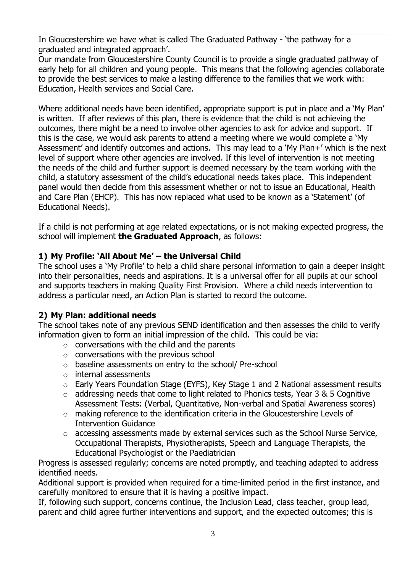In Gloucestershire we have what is called The Graduated Pathway - 'the pathway for a graduated and integrated approach'.

Our mandate from Gloucestershire County Council is to provide a single graduated pathway of early help for all children and young people. This means that the following agencies collaborate to provide the best services to make a lasting difference to the families that we work with: Education, Health services and Social Care.

Where additional needs have been identified, appropriate support is put in place and a 'My Plan' is written. If after reviews of this plan, there is evidence that the child is not achieving the outcomes, there might be a need to involve other agencies to ask for advice and support. If this is the case, we would ask parents to attend a meeting where we would complete a 'My Assessment' and identify outcomes and actions. This may lead to a 'My Plan+' which is the next level of support where other agencies are involved. If this level of intervention is not meeting the needs of the child and further support is deemed necessary by the team working with the child, a statutory assessment of the child's educational needs takes place. This independent panel would then decide from this assessment whether or not to issue an Educational, Health and Care Plan (EHCP). This has now replaced what used to be known as a 'Statement' (of Educational Needs).

If a child is not performing at age related expectations, or is not making expected progress, the school will implement **the Graduated Approach**, as follows:

## **1) My Profile: 'All About Me' – the Universal Child**

The school uses a 'My Profile' to help a child share personal information to gain a deeper insight into their personalities, needs and aspirations. It is a universal offer for all pupils at our school and supports teachers in making Quality First Provision. Where a child needs intervention to address a particular need, an Action Plan is started to record the outcome.

### **2) My Plan: additional needs**

The school takes note of any previous SEND identification and then assesses the child to verify information given to form an initial impression of the child. This could be via:

- $\circ$  conversations with the child and the parents
- $\circ$  conversations with the previous school
- o baseline assessments on entry to the school/ Pre-school
- o internal assessments
- o Early Years Foundation Stage (EYFS), Key Stage 1 and 2 National assessment results
- $\circ$  addressing needs that come to light related to Phonics tests, Year 3 & 5 Cognitive Assessment Tests: (Verbal, Quantitative, Non-verbal and Spatial Awareness scores)
- o making reference to the identification criteria in the Gloucestershire Levels of Intervention Guidance
- o accessing assessments made by external services such as the School Nurse Service, Occupational Therapists, Physiotherapists, Speech and Language Therapists, the Educational Psychologist or the Paediatrician

Progress is assessed regularly; concerns are noted promptly, and teaching adapted to address identified needs.

Additional support is provided when required for a time-limited period in the first instance, and carefully monitored to ensure that it is having a positive impact.

If, following such support, concerns continue, the Inclusion Lead, class teacher, group lead, parent and child agree further interventions and support, and the expected outcomes; this is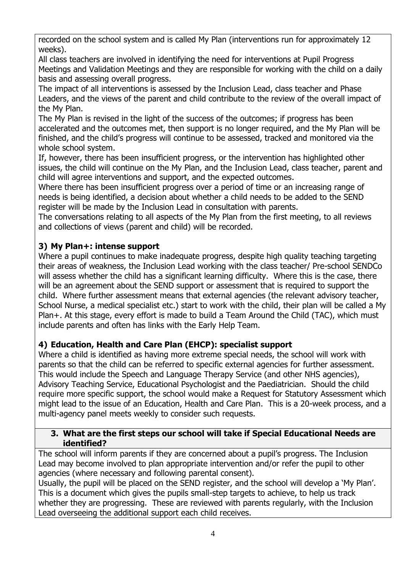recorded on the school system and is called My Plan (interventions run for approximately 12 weeks).

All class teachers are involved in identifying the need for interventions at Pupil Progress Meetings and Validation Meetings and they are responsible for working with the child on a daily basis and assessing overall progress.

The impact of all interventions is assessed by the Inclusion Lead, class teacher and Phase Leaders, and the views of the parent and child contribute to the review of the overall impact of the My Plan.

The My Plan is revised in the light of the success of the outcomes; if progress has been accelerated and the outcomes met, then support is no longer required, and the My Plan will be finished, and the child's progress will continue to be assessed, tracked and monitored via the whole school system.

If, however, there has been insufficient progress, or the intervention has highlighted other issues, the child will continue on the My Plan, and the Inclusion Lead, class teacher, parent and child will agree interventions and support, and the expected outcomes.

Where there has been insufficient progress over a period of time or an increasing range of needs is being identified, a decision about whether a child needs to be added to the SEND register will be made by the Inclusion Lead in consultation with parents.

The conversations relating to all aspects of the My Plan from the first meeting, to all reviews and collections of views (parent and child) will be recorded.

## **3) My Plan+: intense support**

Where a pupil continues to make inadequate progress, despite high quality teaching targeting their areas of weakness, the Inclusion Lead working with the class teacher/ Pre-school SENDCo will assess whether the child has a significant learning difficulty. Where this is the case, there will be an agreement about the SEND support or assessment that is required to support the child. Where further assessment means that external agencies (the relevant advisory teacher, School Nurse, a medical specialist etc.) start to work with the child, their plan will be called a My Plan+. At this stage, every effort is made to build a Team Around the Child (TAC), which must include parents and often has links with the Early Help Team.

### **4) Education, Health and Care Plan (EHCP): specialist support**

Where a child is identified as having more extreme special needs, the school will work with parents so that the child can be referred to specific external agencies for further assessment. This would include the Speech and Language Therapy Service (and other NHS agencies), Advisory Teaching Service, Educational Psychologist and the Paediatrician. Should the child require more specific support, the school would make a Request for Statutory Assessment which might lead to the issue of an Education, Health and Care Plan. This is a 20-week process, and a multi-agency panel meets weekly to consider such requests.

#### **3. What are the first steps our school will take if Special Educational Needs are identified?**

The school will inform parents if they are concerned about a pupil's progress. The Inclusion Lead may become involved to plan appropriate intervention and/or refer the pupil to other agencies (where necessary and following parental consent).

Usually, the pupil will be placed on the SEND register, and the school will develop a 'My Plan'. This is a document which gives the pupils small-step targets to achieve, to help us track whether they are progressing. These are reviewed with parents regularly, with the Inclusion Lead overseeing the additional support each child receives.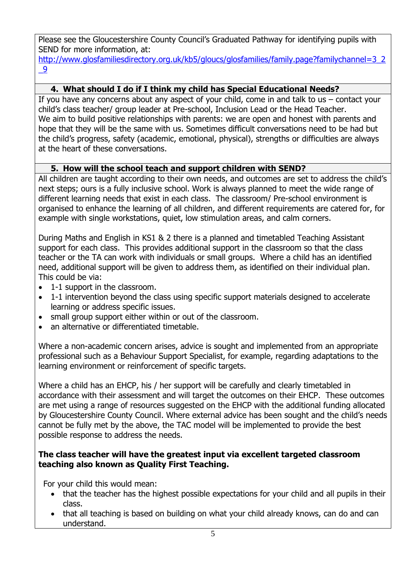Please see the Gloucestershire County Council's Graduated Pathway for identifying pupils with SEND for more information, at:

[http://www.glosfamiliesdirectory.org.uk/kb5/gloucs/glosfamilies/family.page?familychannel=3\\_2](http://www.glosfamiliesdirectory.org.uk/kb5/gloucs/glosfamilies/family.page?familychannel=3_2_9) [\\_9](http://www.glosfamiliesdirectory.org.uk/kb5/gloucs/glosfamilies/family.page?familychannel=3_2_9)

## **4. What should I do if I think my child has Special Educational Needs?**

If you have any concerns about any aspect of your child, come in and talk to us – contact your child's class teacher/ group leader at Pre-school, Inclusion Lead or the Head Teacher. We aim to build positive relationships with parents: we are open and honest with parents and hope that they will be the same with us. Sometimes difficult conversations need to be had but the child's progress, safety (academic, emotional, physical), strengths or difficulties are always at the heart of these conversations.

## **5. How will the school teach and support children with SEND?**

All children are taught according to their own needs, and outcomes are set to address the child's next steps; ours is a fully inclusive school. Work is always planned to meet the wide range of different learning needs that exist in each class. The classroom/ Pre-school environment is organised to enhance the learning of all children, and different requirements are catered for, for example with single workstations, quiet, low stimulation areas, and calm corners.

During Maths and English in KS1 & 2 there is a planned and timetabled Teaching Assistant support for each class. This provides additional support in the classroom so that the class teacher or the TA can work with individuals or small groups. Where a child has an identified need, additional support will be given to address them, as identified on their individual plan. This could be via:

- 1-1 support in the classroom.
- 1-1 intervention beyond the class using specific support materials designed to accelerate learning or address specific issues.
- small group support either within or out of the classroom.
- an alternative or differentiated timetable.

Where a non-academic concern arises, advice is sought and implemented from an appropriate professional such as a Behaviour Support Specialist, for example, regarding adaptations to the learning environment or reinforcement of specific targets.

Where a child has an EHCP, his / her support will be carefully and clearly timetabled in accordance with their assessment and will target the outcomes on their EHCP. These outcomes are met using a range of resources suggested on the EHCP with the additional funding allocated by Gloucestershire County Council. Where external advice has been sought and the child's needs cannot be fully met by the above, the TAC model will be implemented to provide the best possible response to address the needs.

#### **The class teacher will have the greatest input via excellent targeted classroom teaching also known as Quality First Teaching.**

For your child this would mean:

- that the teacher has the highest possible expectations for your child and all pupils in their class.
- that all teaching is based on building on what your child already knows, can do and can understand.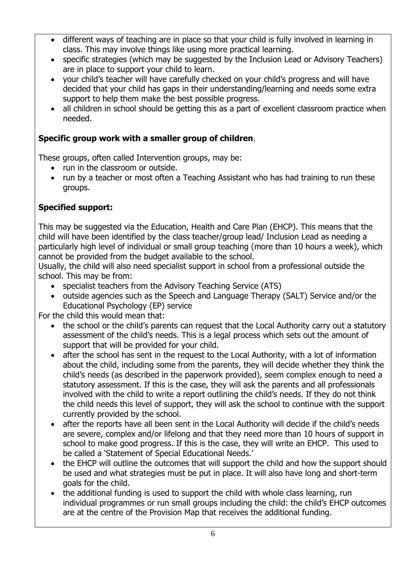- different ways of teaching are in place so that your child is fully involved in learning in class. This may involve things like using more practical learning.
- specific strategies (which may be suggested by the Inclusion Lead or Advisory Teachers) are in place to support your child to learn.
- your child's teacher will have carefully checked on your child's progress and will have decided that your child has gaps in their understanding/learning and needs some extra support to help them make the best possible progress.
- all children in school should be getting this as a part of excellent classroom practice when needed.

# **Specific group work with a smaller group of children**.

These groups, often called Intervention groups, may be:

- run in the classroom or outside.
- run by a teacher or most often a Teaching Assistant who has had training to run these groups.

## **Specified support:**

This may be suggested via the Education, Health and Care Plan (EHCP). This means that the child will have been identified by the class teacher/group lead/ Inclusion Lead as needing a particularly high level of individual or small group teaching (more than 10 hours a week), which cannot be provided from the budget available to the school.

Usually, the child will also need specialist support in school from a professional outside the school. This may be from:

- specialist teachers from the Advisory Teaching Service (ATS)
- outside agencies such as the Speech and Language Therapy (SALT) Service and/or the Educational Psychology (EP) service

For the child this would mean that:

- the school or the child's parents can request that the Local Authority carry out a statutory assessment of the child's needs. This is a legal process which sets out the amount of support that will be provided for your child.
- after the school has sent in the request to the Local Authority, with a lot of information about the child, including some from the parents, they will decide whether they think the child's needs (as described in the paperwork provided), seem complex enough to need a statutory assessment. If this is the case, they will ask the parents and all professionals involved with the child to write a report outlining the child's needs. If they do not think the child needs this level of support, they will ask the school to continue with the support currently provided by the school.
- after the reports have all been sent in the Local Authority will decide if the child's needs are severe, complex and/or lifelong and that they need more than 10 hours of support in school to make good progress. If this is the case, they will write an EHCP. This used to be called a 'Statement of Special Educational Needs.'
- the EHCP will outline the outcomes that will support the child and how the support should be used and what strategies must be put in place. It will also have long and short-term goals for the child.
- the additional funding is used to support the child with whole class learning, run individual programmes or run small groups including the child: the child's EHCP outcomes are at the centre of the Provision Map that receives the additional funding.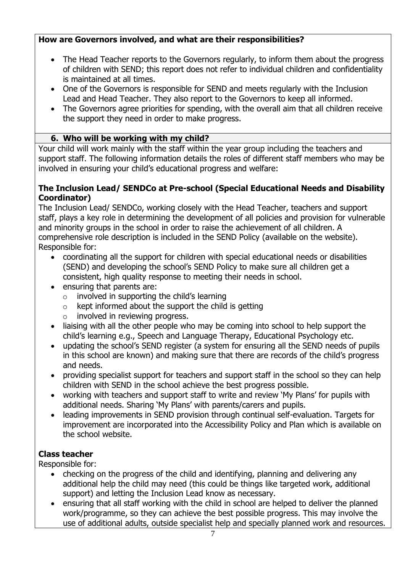## **How are Governors involved, and what are their responsibilities?**

- The Head Teacher reports to the Governors regularly, to inform them about the progress of children with SEND; this report does not refer to individual children and confidentiality is maintained at all times.
- One of the Governors is responsible for SEND and meets regularly with the Inclusion Lead and Head Teacher. They also report to the Governors to keep all informed.
- The Governors agree priorities for spending, with the overall aim that all children receive the support they need in order to make progress.

### **6. Who will be working with my child?**

Your child will work mainly with the staff within the year group including the teachers and support staff. The following information details the roles of different staff members who may be involved in ensuring your child's educational progress and welfare:

### **The Inclusion Lead/ SENDCo at Pre-school (Special Educational Needs and Disability Coordinator)**

The Inclusion Lead/ SENDCo, working closely with the Head Teacher, teachers and support staff, plays a key role in determining the development of all policies and provision for vulnerable and minority groups in the school in order to raise the achievement of all children. A comprehensive role description is included in the SEND Policy (available on the website). Responsible for:

- coordinating all the support for children with special educational needs or disabilities (SEND) and developing the school's SEND Policy to make sure all children get a consistent, high quality response to meeting their needs in school.
- ensuring that parents are:
	- $\circ$  involved in supporting the child's learning
	- $\circ$  kept informed about the support the child is getting
	- o involved in reviewing progress.
- liaising with all the other people who may be coming into school to help support the child's learning e.g., Speech and Language Therapy, Educational Psychology etc.
- updating the school's SEND register (a system for ensuring all the SEND needs of pupils in this school are known) and making sure that there are records of the child's progress and needs.
- providing specialist support for teachers and support staff in the school so they can help children with SEND in the school achieve the best progress possible.
- working with teachers and support staff to write and review 'My Plans' for pupils with additional needs. Sharing 'My Plans' with parents/carers and pupils.
- leading improvements in SEND provision through continual self-evaluation. Targets for improvement are incorporated into the Accessibility Policy and Plan which is available on the school website.

# **Class teacher**

Responsible for:

- checking on the progress of the child and identifying, planning and delivering any additional help the child may need (this could be things like targeted work, additional support) and letting the Inclusion Lead know as necessary.
- ensuring that all staff working with the child in school are helped to deliver the planned work/programme, so they can achieve the best possible progress. This may involve the use of additional adults, outside specialist help and specially planned work and resources.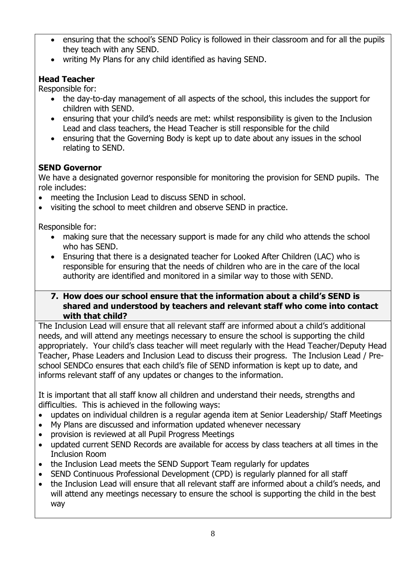- ensuring that the school's SEND Policy is followed in their classroom and for all the pupils they teach with any SEND.
- writing My Plans for any child identified as having SEND.

# **Head Teacher**

Responsible for:

- the day-to-day management of all aspects of the school, this includes the support for children with SEND.
- ensuring that your child's needs are met: whilst responsibility is given to the Inclusion Lead and class teachers, the Head Teacher is still responsible for the child
- ensuring that the Governing Body is kept up to date about any issues in the school relating to SEND.

# **SEND Governor**

We have a designated governor responsible for monitoring the provision for SEND pupils. The role includes:

- meeting the Inclusion Lead to discuss SEND in school.
- visiting the school to meet children and observe SEND in practice.

Responsible for:

- making sure that the necessary support is made for any child who attends the school who has SEND.
- Ensuring that there is a designated teacher for Looked After Children (LAC) who is responsible for ensuring that the needs of children who are in the care of the local authority are identified and monitored in a similar way to those with SEND.

### **7. How does our school ensure that the information about a child's SEND is shared and understood by teachers and relevant staff who come into contact with that child?**

The Inclusion Lead will ensure that all relevant staff are informed about a child's additional needs, and will attend any meetings necessary to ensure the school is supporting the child appropriately. Your child's class teacher will meet regularly with the Head Teacher/Deputy Head Teacher, Phase Leaders and Inclusion Lead to discuss their progress. The Inclusion Lead / Preschool SENDCo ensures that each child's file of SEND information is kept up to date, and informs relevant staff of any updates or changes to the information.

It is important that all staff know all children and understand their needs, strengths and difficulties. This is achieved in the following ways:

- updates on individual children is a regular agenda item at Senior Leadership/ Staff Meetings
- My Plans are discussed and information updated whenever necessary
- provision is reviewed at all Pupil Progress Meetings
- updated current SEND Records are available for access by class teachers at all times in the Inclusion Room
- the Inclusion Lead meets the SEND Support Team regularly for updates
- SEND Continuous Professional Development (CPD) is regularly planned for all staff
- the Inclusion Lead will ensure that all relevant staff are informed about a child's needs, and will attend any meetings necessary to ensure the school is supporting the child in the best way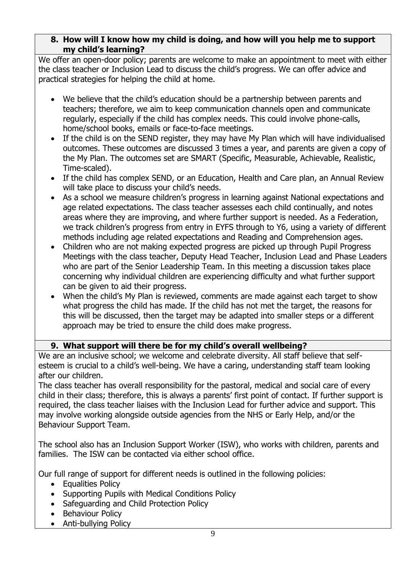### **8. How will I know how my child is doing, and how will you help me to support my child's learning?**

We offer an open-door policy; parents are welcome to make an appointment to meet with either the class teacher or Inclusion Lead to discuss the child's progress. We can offer advice and practical strategies for helping the child at home.

- We believe that the child's education should be a partnership between parents and teachers; therefore, we aim to keep communication channels open and communicate regularly, especially if the child has complex needs. This could involve phone-calls, home/school books, emails or face-to-face meetings.
- If the child is on the SEND register, they may have My Plan which will have individualised outcomes. These outcomes are discussed 3 times a year, and parents are given a copy of the My Plan. The outcomes set are SMART (Specific, Measurable, Achievable, Realistic, Time-scaled).
- If the child has complex SEND, or an Education, Health and Care plan, an Annual Review will take place to discuss your child's needs.
- As a school we measure children's progress in learning against National expectations and age related expectations. The class teacher assesses each child continually, and notes areas where they are improving, and where further support is needed. As a Federation, we track children's progress from entry in EYFS through to Y6, using a variety of different methods including age related expectations and Reading and Comprehension ages.
- Children who are not making expected progress are picked up through Pupil Progress Meetings with the class teacher, Deputy Head Teacher, Inclusion Lead and Phase Leaders who are part of the Senior Leadership Team. In this meeting a discussion takes place concerning why individual children are experiencing difficulty and what further support can be given to aid their progress.
- When the child's My Plan is reviewed, comments are made against each target to show what progress the child has made. If the child has not met the target, the reasons for this will be discussed, then the target may be adapted into smaller steps or a different approach may be tried to ensure the child does make progress.

### **9. What support will there be for my child's overall wellbeing?**

We are an inclusive school; we welcome and celebrate diversity. All staff believe that selfesteem is crucial to a child's well-being. We have a caring, understanding staff team looking after our children.

The class teacher has overall responsibility for the pastoral, medical and social care of every child in their class; therefore, this is always a parents' first point of contact. If further support is required, the class teacher liaises with the Inclusion Lead for further advice and support. This may involve working alongside outside agencies from the NHS or Early Help, and/or the Behaviour Support Team.

The school also has an Inclusion Support Worker (ISW), who works with children, parents and families. The ISW can be contacted via either school office.

Our full range of support for different needs is outlined in the following policies:

- Equalities Policy
- Supporting Pupils with Medical Conditions Policy
- Safeguarding and Child Protection Policy
- Behaviour Policy
- Anti-bullying Policy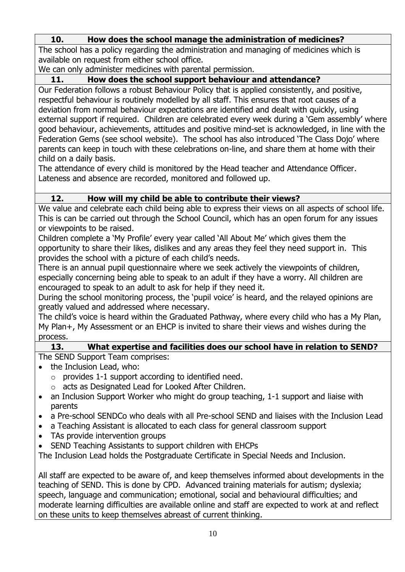# **10. How does the school manage the administration of medicines?**

The school has a policy regarding the administration and managing of medicines which is available on request from either school office.

We can only administer medicines with parental permission.

# **11. How does the school support behaviour and attendance?**

Our Federation follows a robust Behaviour Policy that is applied consistently, and positive, respectful behaviour is routinely modelled by all staff. This ensures that root causes of a deviation from normal behaviour expectations are identified and dealt with quickly, using external support if required. Children are celebrated every week during a 'Gem assembly' where good behaviour, achievements, attitudes and positive mind-set is acknowledged, in line with the Federation Gems (see school website). The school has also introduced 'The Class Dojo' where parents can keep in touch with these celebrations on-line, and share them at home with their child on a daily basis.

The attendance of every child is monitored by the Head teacher and Attendance Officer. Lateness and absence are recorded, monitored and followed up.

# **12. How will my child be able to contribute their views?**

We value and celebrate each child being able to express their views on all aspects of school life. This is can be carried out through the School Council, which has an open forum for any issues or viewpoints to be raised.

Children complete a 'My Profile' every year called 'All About Me' which gives them the opportunity to share their likes, dislikes and any areas they feel they need support in. This provides the school with a picture of each child's needs.

There is an annual pupil questionnaire where we seek actively the viewpoints of children, especially concerning being able to speak to an adult if they have a worry. All children are encouraged to speak to an adult to ask for help if they need it.

During the school monitoring process, the 'pupil voice' is heard, and the relayed opinions are greatly valued and addressed where necessary.

The child's voice is heard within the Graduated Pathway, where every child who has a My Plan, My Plan+, My Assessment or an EHCP is invited to share their views and wishes during the process.

### **13. What expertise and facilities does our school have in relation to SEND?**

The SEND Support Team comprises:

- the Inclusion Lead, who:
	- $\circ$  provides 1-1 support according to identified need.
	- o acts as Designated Lead for Looked After Children.
- an Inclusion Support Worker who might do group teaching, 1-1 support and liaise with parents
- a Pre-school SENDCo who deals with all Pre-school SEND and liaises with the Inclusion Lead
- a Teaching Assistant is allocated to each class for general classroom support
- TAs provide intervention groups
- SEND Teaching Assistants to support children with EHCPs

The Inclusion Lead holds the Postgraduate Certificate in Special Needs and Inclusion.

All staff are expected to be aware of, and keep themselves informed about developments in the teaching of SEND. This is done by CPD. Advanced training materials for autism; dyslexia; speech, language and communication; emotional, social and behavioural difficulties; and moderate learning difficulties are available online and staff are expected to work at and reflect on these units to keep themselves abreast of current thinking.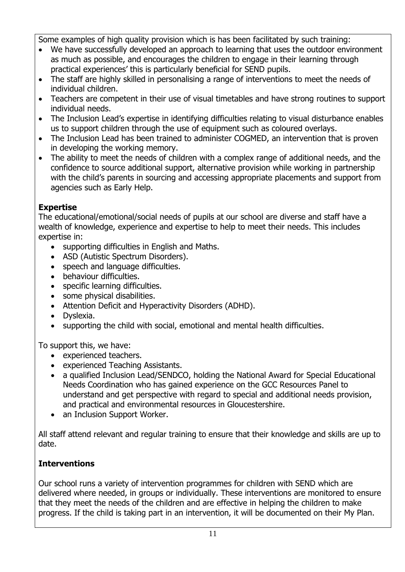Some examples of high quality provision which is has been facilitated by such training:

- We have successfully developed an approach to learning that uses the outdoor environment as much as possible, and encourages the children to engage in their learning through practical experiences' this is particularly beneficial for SEND pupils.
- The staff are highly skilled in personalising a range of interventions to meet the needs of individual children.
- Teachers are competent in their use of visual timetables and have strong routines to support individual needs.
- The Inclusion Lead's expertise in identifying difficulties relating to visual disturbance enables us to support children through the use of equipment such as coloured overlays.
- The Inclusion Lead has been trained to administer COGMED, an intervention that is proven in developing the working memory.
- The ability to meet the needs of children with a complex range of additional needs, and the confidence to source additional support, alternative provision while working in partnership with the child's parents in sourcing and accessing appropriate placements and support from agencies such as Early Help.

# **Expertise**

The educational/emotional/social needs of pupils at our school are diverse and staff have a wealth of knowledge, experience and expertise to help to meet their needs. This includes expertise in:

- supporting difficulties in English and Maths.
- ASD (Autistic Spectrum Disorders).
- speech and language difficulties.
- behaviour difficulties.
- specific learning difficulties.
- some physical disabilities.
- Attention Deficit and Hyperactivity Disorders (ADHD).
- Dvslexia.
- supporting the child with social, emotional and mental health difficulties.

To support this, we have:

- experienced teachers.
- experienced Teaching Assistants.
- a qualified Inclusion Lead/SENDCO, holding the National Award for Special Educational Needs Coordination who has gained experience on the GCC Resources Panel to understand and get perspective with regard to special and additional needs provision, and practical and environmental resources in Gloucestershire.
- an Inclusion Support Worker.

All staff attend relevant and regular training to ensure that their knowledge and skills are up to date.

# **Interventions**

Our school runs a variety of intervention programmes for children with SEND which are delivered where needed, in groups or individually. These interventions are monitored to ensure that they meet the needs of the children and are effective in helping the children to make progress. If the child is taking part in an intervention, it will be documented on their My Plan.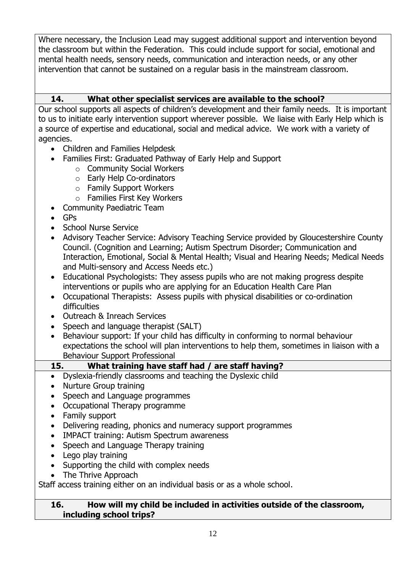Where necessary, the Inclusion Lead may suggest additional support and intervention beyond the classroom but within the Federation. This could include support for social, emotional and mental health needs, sensory needs, communication and interaction needs, or any other intervention that cannot be sustained on a regular basis in the mainstream classroom.

### **14. What other specialist services are available to the school?**

Our school supports all aspects of children's development and their family needs. It is important to us to initiate early intervention support wherever possible. We liaise with Early Help which is a source of expertise and educational, social and medical advice. We work with a variety of agencies.

- Children and Families Helpdesk
- Families First: Graduated Pathway of Early Help and Support
	- o Community Social Workers
	- o Early Help Co-ordinators
	- o Family Support Workers
	- o Families First Key Workers
- Community Paediatric Team
- GPs
- School Nurse Service
- Advisory Teacher Service: Advisory Teaching Service provided by Gloucestershire County Council. (Cognition and Learning; Autism Spectrum Disorder; Communication and Interaction, Emotional, Social & Mental Health; Visual and Hearing Needs; Medical Needs and Multi-sensory and Access Needs etc.)
- Educational Psychologists: They assess pupils who are not making progress despite interventions or pupils who are applying for an Education Health Care Plan
- Occupational Therapists: Assess pupils with physical disabilities or co-ordination difficulties
- Outreach & Inreach Services
- Speech and language therapist (SALT)
- Behaviour support: If your child has difficulty in conforming to normal behaviour expectations the school will plan interventions to help them, sometimes in liaison with a Behaviour Support Professional

**15. What training have staff had / are staff having?**

- Dyslexia-friendly classrooms and teaching the Dyslexic child
- Nurture Group training
- Speech and Language programmes
- Occupational Therapy programme
- Family support
- Delivering reading, phonics and numeracy support programmes
- IMPACT training: Autism Spectrum awareness
- Speech and Language Therapy training
- Lego play training
- Supporting the child with complex needs
- The Thrive Approach

Staff access training either on an individual basis or as a whole school.

#### **16. How will my child be included in activities outside of the classroom, including school trips?**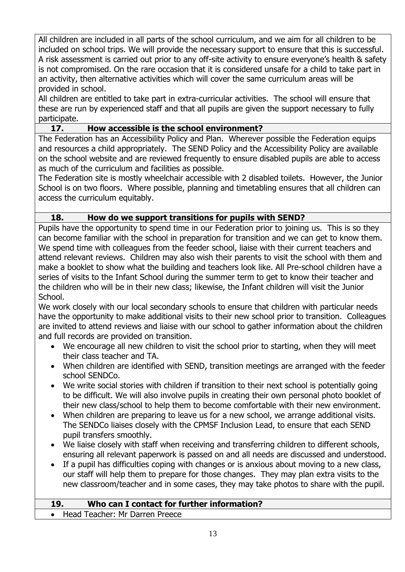All children are included in all parts of the school curriculum, and we aim for all children to be included on school trips. We will provide the necessary support to ensure that this is successful. A risk assessment is carried out prior to any off-site activity to ensure everyone's health & safety is not compromised. On the rare occasion that it is considered unsafe for a child to take part in an activity, then alternative activities which will cover the same curriculum areas will be provided in school.

All children are entitled to take part in extra-curricular activities. The school will ensure that these are run by experienced staff and that all pupils are given the support necessary to fully participate.

### **17. How accessible is the school environment?**

The Federation has an Accessibility Policy and Plan. Wherever possible the Federation equips and resources a child appropriately. The SEND Policy and the Accessibility Policy are available on the school website and are reviewed frequently to ensure disabled pupils are able to access as much of the curriculum and facilities as possible.

The Federation site is mostly wheelchair accessible with 2 disabled toilets. However, the Junior School is on two floors. Where possible, planning and timetabling ensures that all children can access the curriculum equitably.

#### **18. How do we support transitions for pupils with SEND?**

Pupils have the opportunity to spend time in our Federation prior to joining us. This is so they can become familiar with the school in preparation for transition and we can get to know them. We spend time with colleagues from the feeder school, liaise with their current teachers and attend relevant reviews. Children may also wish their parents to visit the school with them and make a booklet to show what the building and teachers look like. All Pre-school children have a series of visits to the Infant School during the summer term to get to know their teacher and the children who will be in their new class; likewise, the Infant children will visit the Junior School.

We work closely with our local secondary schools to ensure that children with particular needs have the opportunity to make additional visits to their new school prior to transition. Colleagues are invited to attend reviews and liaise with our school to gather information about the children and full records are provided on transition.

- We encourage all new children to visit the school prior to starting, when they will meet their class teacher and TA.
- When children are identified with SEND, transition meetings are arranged with the feeder school SENDCo.
- We write social stories with children if transition to their next school is potentially going to be difficult. We will also involve pupils in creating their own personal photo booklet of their new class/school to help them to become comfortable with their new environment.
- When children are preparing to leave us for a new school, we arrange additional visits. The SENDCo liaises closely with the CPMSF Inclusion Lead, to ensure that each SEND pupil transfers smoothly.
- We liaise closely with staff when receiving and transferring children to different schools, ensuring all relevant paperwork is passed on and all needs are discussed and understood.
- If a pupil has difficulties coping with changes or is anxious about moving to a new class, our staff will help them to prepare for those changes. They may plan extra visits to the new classroom/teacher and in some cases, they may take photos to share with the pupil.

#### **19. Who can I contact for further information?**

• Head Teacher: Mr Darren Preece